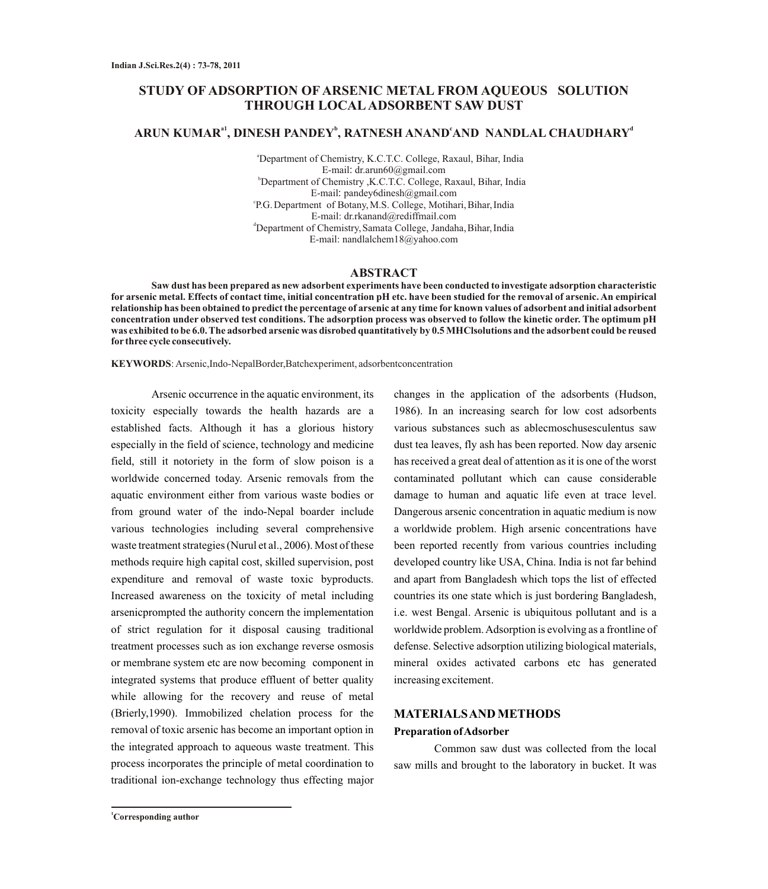## **STUDY OF ADSORPTION OF ARSENIC METAL FROM AQUEOUS SOLUTION THROUGH LOCALADSORBENT SAW DUST**

# **a1 <sup>b</sup> <sup>c</sup> <sup>d</sup> ARUN KUMAR , DINESH PANDEY , RATNESH ANAND AND NANDLAL CHAUDHARY**

<sup>a</sup>Department of Chemistry, K.C.T.C. College, Raxaul, Bihar, India E-mail: dr.arun60@gmail.com <sup>b</sup>Department of Chemistry ,K.C.T.C. College, Raxaul, Bihar, India E-mail: pandey6dinesh@gmail.com P.G. Department of Botany, M.S. College, Motihari, Bihar, India E-mail: dr.rkanand@rediffmail.com <sup>d</sup>Department of Chemistry, Samata College, Jandaha, Bihar, India E-mail: nandlalchem18@yahoo.com

### **ABSTRACT**

**Saw dust has been prepared as new adsorbent experiments have been conducted to investigate adsorption characteristic for arsenic metal. Effects of contact time, initial concentration pH etc. have been studied for the removal of arsenic. An empirical relationship has been obtained to predict the percentage of arsenic at any time for known values of adsorbent and initial adsorbent concentration under observed test conditions. The adsorption process was observed to follow the kinetic order. The optimum pH was exhibited to be 6.0. The adsorbed arsenic was disrobed quantitatively by 0.5 MHClsolutions and the adsorbent could be reused for three cycle consecutively.** 

**KEYWORDS**: Arsenic,Indo-NepalBorder,Batchexperiment, adsorbentconcentration

Arsenic occurrence in the aquatic environment, its toxicity especially towards the health hazards are a established facts. Although it has a glorious history especially in the field of science, technology and medicine field, still it notoriety in the form of slow poison is a worldwide concerned today. Arsenic removals from the aquatic environment either from various waste bodies or from ground water of the indo-Nepal boarder include various technologies including several comprehensive waste treatment strategies (Nurul et al., 2006). Most of these methods require high capital cost, skilled supervision, post expenditure and removal of waste toxic byproducts. Increased awareness on the toxicity of metal including arsenicprompted the authority concern the implementation of strict regulation for it disposal causing traditional treatment processes such as ion exchange reverse osmosis or membrane system etc are now becoming component in integrated systems that produce effluent of better quality while allowing for the recovery and reuse of metal (Brierly,1990). Immobilized chelation process for the removal of toxic arsenic has become an important option in the integrated approach to aqueous waste treatment. This process incorporates the principle of metal coordination to traditional ion-exchange technology thus effecting major

changes in the application of the adsorbents (Hudson, 1986). In an increasing search for low cost adsorbents various substances such as ablecmoschusesculentus saw dust tea leaves, fly ash has been reported. Now day arsenic has received a great deal of attention as it is one of the worst contaminated pollutant which can cause considerable damage to human and aquatic life even at trace level. Dangerous arsenic concentration in aquatic medium is now a worldwide problem. High arsenic concentrations have been reported recently from various countries including developed country like USA, China. India is not far behind and apart from Bangladesh which tops the list of effected countries its one state which is just bordering Bangladesh, i.e. west Bengal. Arsenic is ubiquitous pollutant and is a worldwide problem. Adsorption is evolving as a frontline of defense. Selective adsorption utilizing biological materials, mineral oxides activated carbons etc has generated increasing excitement.

#### **MATERIALS AND METHODS**

#### **Preparation of Adsorber**

Common saw dust was collected from the local saw mills and brought to the laboratory in bucket. It was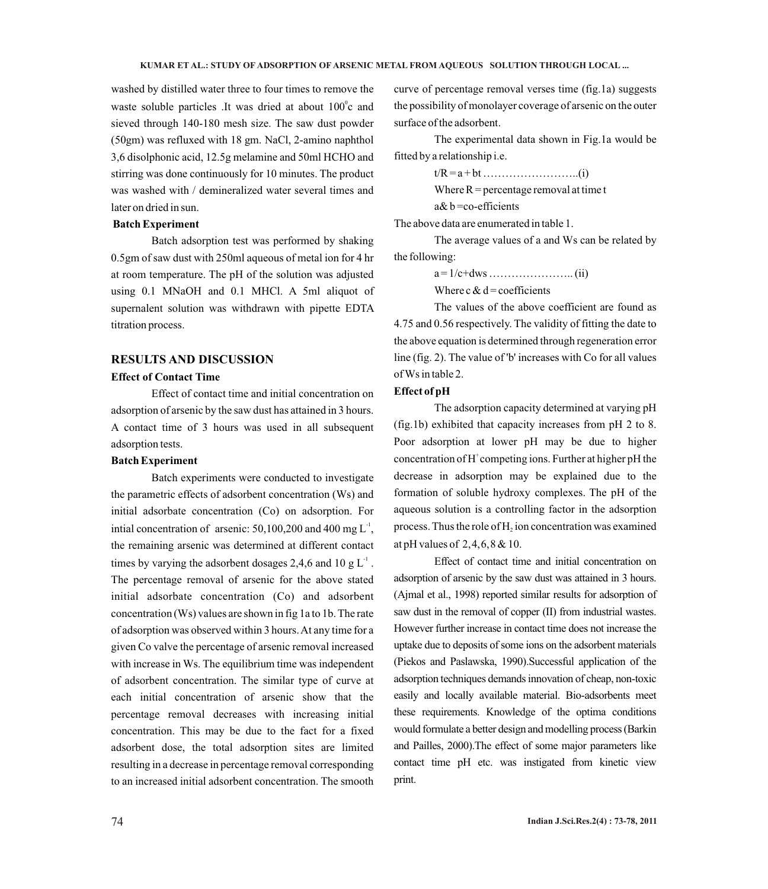washed by distilled water three to four times to remove the waste soluble particles .It was dried at about  $100^\circ$ c and sieved through 140-180 mesh size. The saw dust powder (50gm) was refluxed with 18 gm. NaCl, 2-amino naphthol 3,6 disolphonic acid, 12.5g melamine and 50ml HCHO and stirring was done continuously for 10 minutes. The product was washed with / demineralized water several times and later on dried in sun.

#### **Batch Experiment**

Batch adsorption test was performed by shaking 0.5gm of saw dust with 250ml aqueous of metal ion for 4 hr at room temperature. The pH of the solution was adjusted using 0.1 MNaOH and 0.1 MHCl. A 5ml aliquot of supernalent solution was withdrawn with pipette EDTA titration process.

### **RESULTS AND DISCUSSION**

### **Effect of Contact Time**

Effect of contact time and initial concentration on adsorption of arsenic by the saw dust has attained in 3 hours. A contact time of 3 hours was used in all subsequent adsorption tests.

#### **Batch Experiment**

Batch experiments were conducted to investigate the parametric effects of adsorbent concentration (Ws) and initial adsorbate concentration (Co) on adsorption. For intial concentration of arsenic:  $50,100,200$  and  $400$  mg L<sup>-1</sup>, the remaining arsenic was determined at different contact times by varying the adsorbent dosages 2,4,6 and 10 g  $L^1$ . The percentage removal of arsenic for the above stated initial adsorbate concentration (Co) and adsorbent concentration (Ws) values are shown in fig 1a to 1b. The rate of adsorption was observed within 3 hours. At any time for a given Co valve the percentage of arsenic removal increased with increase in Ws. The equilibrium time was independent of adsorbent concentration. The similar type of curve at each initial concentration of arsenic show that the percentage removal decreases with increasing initial concentration. This may be due to the fact for a fixed adsorbent dose, the total adsorption sites are limited resulting in a decrease in percentage removal corresponding to an increased initial adsorbent concentration. The smooth

curve of percentage removal verses time (fig.1a) suggests the possibility of monolayer coverage of arsenic on the outer surface of the adsorbent.

The experimental data shown in Fig.1a would be fitted by a relationship i.e.

> t/R = a + bt ……………………..(i) Where  $R =$  percentage removal at time t a& b =co-efficients

The above data are enumerated in table 1.

The average values of a and Ws can be related by the following:

a = 1/c+dws ………………….. (ii)

Where c  $& d =$  coefficients

The values of the above coefficient are found as 4.75 and 0.56 respectively. The validity of fitting the date to the above equation is determined through regeneration error line (fig. 2). The value of 'b' increases with Co for all values of Ws in table 2.

#### **Effect of pH**

The adsorption capacity determined at varying pH (fig.1b) exhibited that capacity increases from pH 2 to 8. Poor adsorption at lower pH may be due to higher concentration of  $H^+$ competing ions. Further at higher pH the decrease in adsorption may be explained due to the formation of soluble hydroxy complexes. The pH of the aqueous solution is a controlling factor in the adsorption process. Thus the role of  $H<sub>2</sub>$  ion concentration was examined at pH values of 2,4,6,8 & 10.

Effect of contact time and initial concentration on adsorption of arsenic by the saw dust was attained in 3 hours. (Ajmal et al., 1998) reported similar results for adsorption of saw dust in the removal of copper (II) from industrial wastes. However further increase in contact time does not increase the uptake due to deposits of some ions on the adsorbent materials (Piekos and Paslawska, 1990).Successful application of the adsorption techniques demands innovation of cheap, non-toxic easily and locally available material. Bio-adsorbents meet these requirements. Knowledge of the optima conditions would formulate a better design and modelling process (Barkin and Pailles, 2000).The effect of some major parameters like contact time pH etc. was instigated from kinetic view print.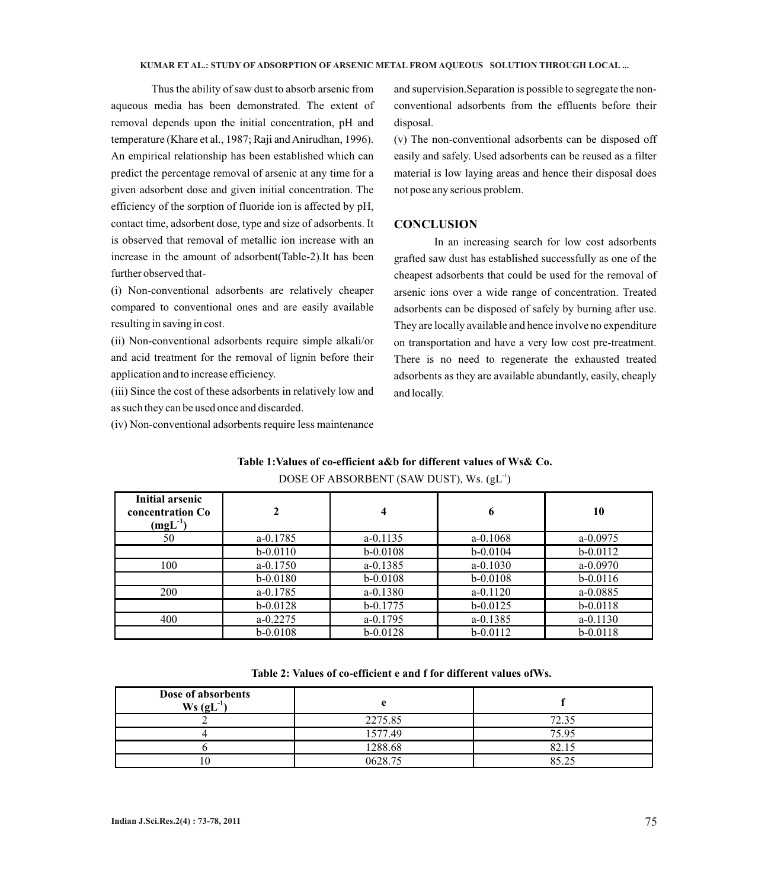Thus the ability of saw dust to absorb arsenic from aqueous media has been demonstrated. The extent of removal depends upon the initial concentration, pH and temperature (Khare et al., 1987; Raji and Anirudhan, 1996). An empirical relationship has been established which can predict the percentage removal of arsenic at any time for a given adsorbent dose and given initial concentration. The efficiency of the sorption of fluoride ion is affected by pH, contact time, adsorbent dose, type and size of adsorbents. It is observed that removal of metallic ion increase with an increase in the amount of adsorbent(Table-2).It has been further observed that-

(i) Non-conventional adsorbents are relatively cheaper compared to conventional ones and are easily available resulting in saving in cost.

(ii) Non-conventional adsorbents require simple alkali/or and acid treatment for the removal of lignin before their application and to increase efficiency.

(iii) Since the cost of these adsorbents in relatively low and as such they can be used once and discarded.

(iv) Non-conventional adsorbents require less maintenance

and supervision.Separation is possible to segregate the nonconventional adsorbents from the effluents before their disposal.

(v) The non-conventional adsorbents can be disposed off easily and safely. Used adsorbents can be reused as a filter material is low laying areas and hence their disposal does not pose any serious problem.

#### **CONCLUSION**

In an increasing search for low cost adsorbents grafted saw dust has established successfully as one of the cheapest adsorbents that could be used for the removal of arsenic ions over a wide range of concentration. Treated adsorbents can be disposed of safely by burning after use. They are locally available and hence involve no expenditure on transportation and have a very low cost pre-treatment. There is no need to regenerate the exhausted treated adsorbents as they are available abundantly, easily, cheaply and locally.

### **Table 1:Values of co-efficient a&b for different values of Ws& Co.**

| Initial arsenic<br>concentration Co<br>$(mgL^{-1})$ | 2            | 4            | 6            | 10           |
|-----------------------------------------------------|--------------|--------------|--------------|--------------|
| 50                                                  | $a - 0.1785$ | $a - 0.1135$ | $a - 0.1068$ | $a - 0.0975$ |
|                                                     | $b - 0.0110$ | $b - 0.0108$ | $b - 0.0104$ | $b - 0.0112$ |
| 100                                                 | $a - 0.1750$ | $a - 0.1385$ | $a - 0.1030$ | $a - 0.0970$ |
|                                                     | $b - 0.0180$ | $b - 0.0108$ | $b - 0.0108$ | $b - 0.0116$ |
| 200                                                 | $a - 0.1785$ | $a - 0.1380$ | $a - 0.1120$ | $a - 0.0885$ |
|                                                     | $b - 0.0128$ | $b - 0.1775$ | $b - 0.0125$ | $b - 0.0118$ |
| 400                                                 | $a - 0.2275$ | $a - 0.1795$ | $a - 0.1385$ | $a - 0.1130$ |
|                                                     | $b - 0.0108$ | $b - 0.0128$ | $b - 0.0112$ | $b - 0.0118$ |

### DOSE OF ABSORBENT (SAW DUST), Ws.  $(gL<sup>-1</sup>)$

### **Table 2: Values of co-efficient e and f for different values ofWs.**

| Dose of absorbents<br>$Ws (gL-1)$ |         |       |
|-----------------------------------|---------|-------|
|                                   | 2275.85 | 72.35 |
|                                   | 1577.49 | 75.95 |
|                                   | 1288.68 | 82.15 |
| 10                                | 0628.75 | 85 75 |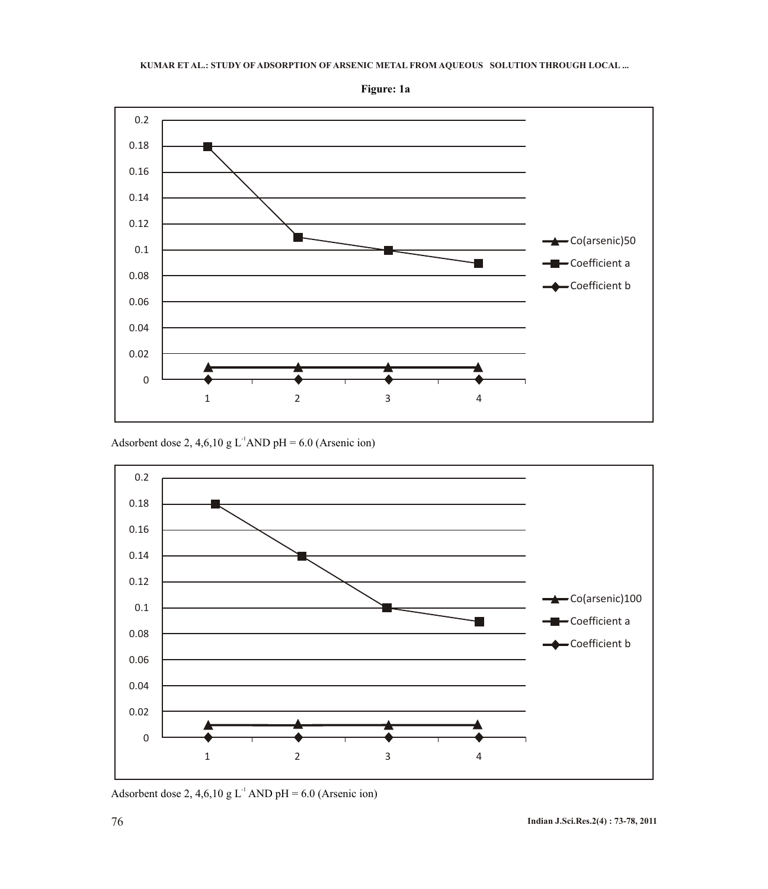# **KUMAR ET AL.: STUDY OF ADSORPTION OF ARSENIC METAL FROM AQUEOUS SOLUTION THROUGH LOCAL ...**



**Figure: 1a**

Adsorbent dose 2, 4,6,10 g L<sup>-1</sup>AND pH = 6.0 (Arsenic ion)



Adsorbent dose 2, 4,6,10 g  $L^{-1}$  AND pH = 6.0 (Arsenic ion)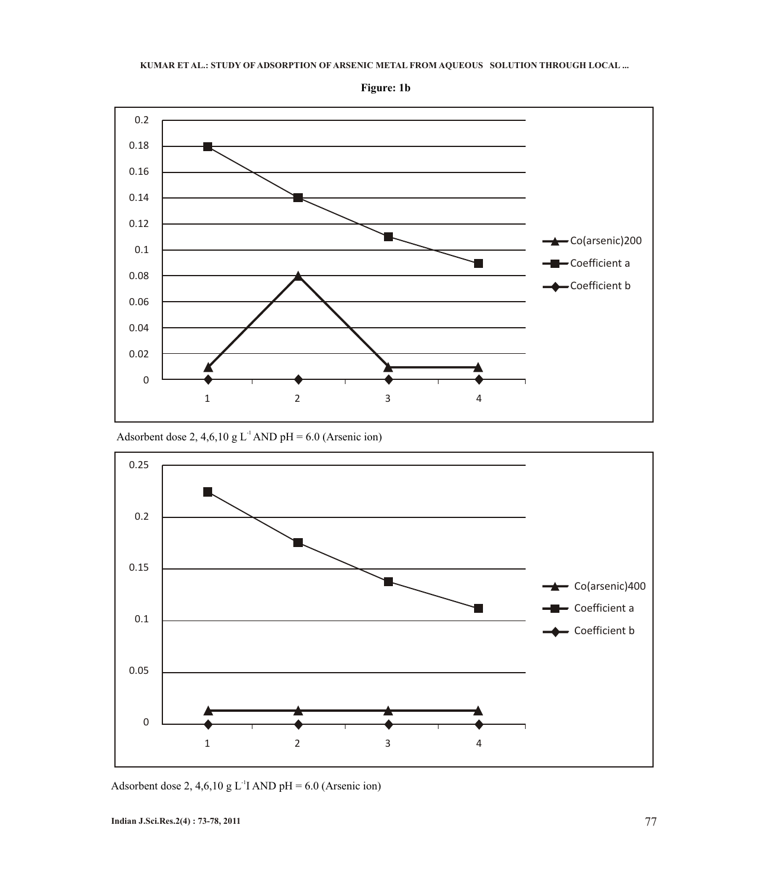#### **KUMAR ET AL.: STUDY OF ADSORPTION OF ARSENIC METAL FROM AQUEOUS SOLUTION THROUGH LOCAL ...**



**Figure: 1b**

Adsorbent dose 2, 4,6,10 g L<sup>-1</sup> AND pH = 6.0 (Arsenic ion)



Adsorbent dose 2, 4,6,10 g L<sup>-1</sup>I AND pH = 6.0 (Arsenic ion)